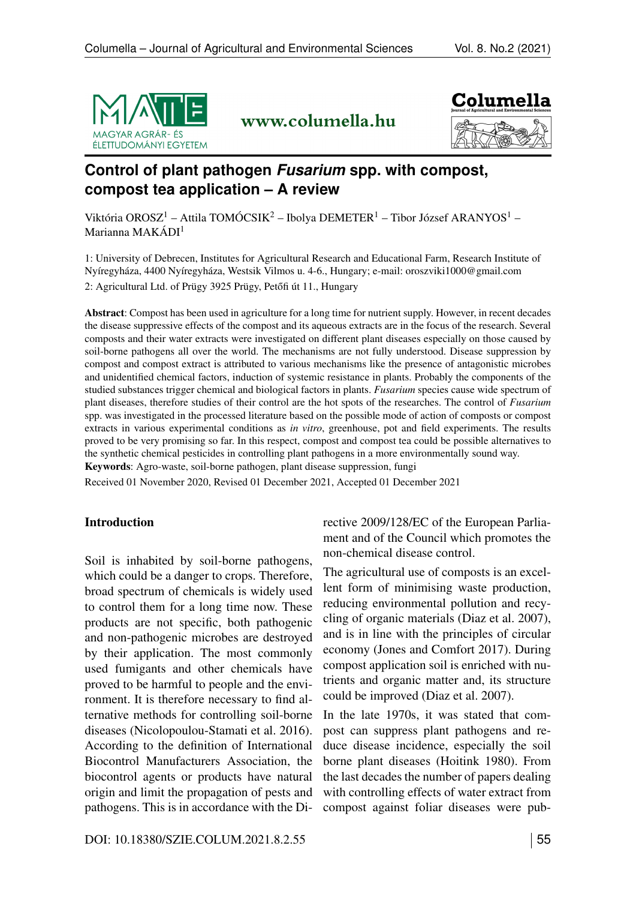

www.columella.hu



# **Control of plant pathogen** *Fusarium* **spp. with compost, compost tea application – A review**

Viktória OROSZ<sup>1</sup> – Attila TOMÓCSIK<sup>2</sup> – Ibolya DEMETER<sup>1</sup> – Tibor József ARANYOS<sup>1</sup> – Marianna MAKÁDI<sup>1</sup>

1: University of Debrecen, Institutes for Agricultural Research and Educational Farm, Research Institute of Nyíregyháza, 4400 Nyíregyháza, Westsik Vilmos u. 4-6., Hungary; e-mail:<oroszviki1000@gmail.com> 2: Agricultural Ltd. of Prügy 3925 Prügy, Petőfi út 11., Hungary

Abstract: Compost has been used in agriculture for a long time for nutrient supply. However, in recent decades the disease suppressive effects of the compost and its aqueous extracts are in the focus of the research. Several composts and their water extracts were investigated on different plant diseases especially on those caused by soil-borne pathogens all over the world. The mechanisms are not fully understood. Disease suppression by compost and compost extract is attributed to various mechanisms like the presence of antagonistic microbes and unidentified chemical factors, induction of systemic resistance in plants. Probably the components of the studied substances trigger chemical and biological factors in plants. *Fusarium* species cause wide spectrum of plant diseases, therefore studies of their control are the hot spots of the researches. The control of *Fusarium* spp. was investigated in the processed literature based on the possible mode of action of composts or compost extracts in various experimental conditions as *in vitro*, greenhouse, pot and field experiments. The results proved to be very promising so far. In this respect, compost and compost tea could be possible alternatives to the synthetic chemical pesticides in controlling plant pathogens in a more environmentally sound way. Keywords: Agro-waste, soil-borne pathogen, plant disease suppression, fungi

Received 01 November 2020, Revised 01 December 2021, Accepted 01 December 2021

## Introduction

Soil is inhabited by soil-borne pathogens, which could be a danger to crops. Therefore, broad spectrum of chemicals is widely used to control them for a long time now. These products are not specific, both pathogenic and non-pathogenic microbes are destroyed by their application. The most commonly used fumigants and other chemicals have proved to be harmful to people and the environment. It is therefore necessary to find alternative methods for controlling soil-borne diseases (Nicolopoulou-Stamati et al. 2016). According to the definition of International Biocontrol Manufacturers Association, the biocontrol agents or products have natural origin and limit the propagation of pests and pathogens. This is in accordance with the Directive 2009/128/EC of the European Parliament and of the Council which promotes the non-chemical disease control.

The agricultural use of composts is an excellent form of minimising waste production, reducing environmental pollution and recycling of organic materials (Diaz et al. 2007), and is in line with the principles of circular economy (Jones and Comfort 2017). During compost application soil is enriched with nutrients and organic matter and, its structure could be improved (Diaz et al. 2007).

In the late 1970s, it was stated that compost can suppress plant pathogens and reduce disease incidence, especially the soil borne plant diseases (Hoitink 1980). From the last decades the number of papers dealing with controlling effects of water extract from compost against foliar diseases were pub-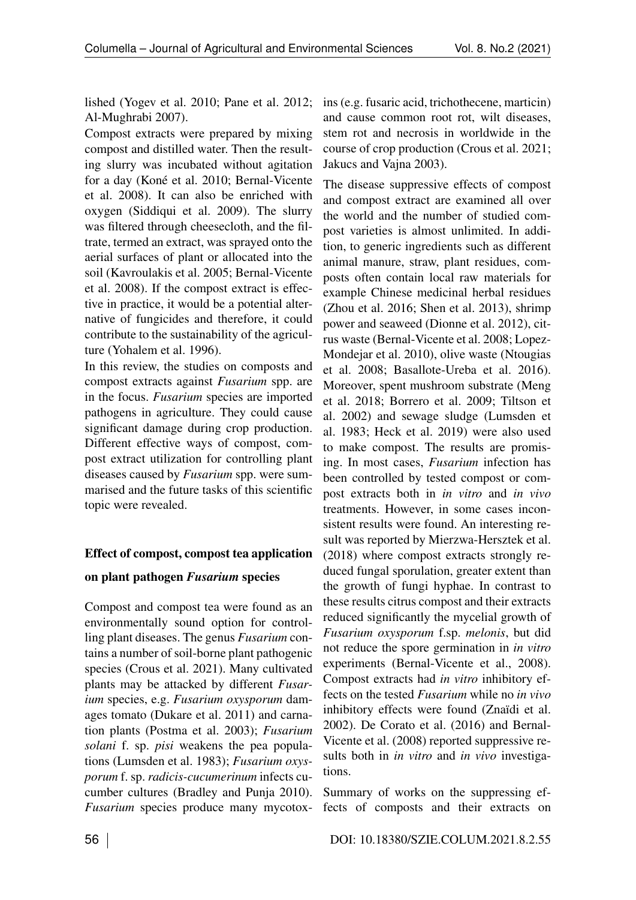lished (Yogev et al. 2010; Pane et al. 2012; ins (e.g. fusaric acid, trichothecene, marticin) Al-Mughrabi 2007).

Compost extracts were prepared by mixing compost and distilled water. Then the resulting slurry was incubated without agitation for a day (Koné et al. 2010; Bernal-Vicente et al. 2008). It can also be enriched with oxygen (Siddiqui et al. 2009). The slurry was filtered through cheesecloth, and the filtrate, termed an extract, was sprayed onto the aerial surfaces of plant or allocated into the soil (Kavroulakis et al. 2005; Bernal-Vicente et al. 2008). If the compost extract is effective in practice, it would be a potential alternative of fungicides and therefore, it could contribute to the sustainability of the agriculture (Yohalem et al. 1996).

In this review, the studies on composts and compost extracts against *Fusarium* spp. are in the focus. *Fusarium* species are imported pathogens in agriculture. They could cause significant damage during crop production. Different effective ways of compost, compost extract utilization for controlling plant diseases caused by *Fusarium* spp. were summarised and the future tasks of this scientific topic were revealed.

## Effect of compost, compost tea application

## on plant pathogen *Fusarium* species

Compost and compost tea were found as an environmentally sound option for controlling plant diseases. The genus *Fusarium* contains a number of soil-borne plant pathogenic species (Crous et al. 2021). Many cultivated plants may be attacked by different *Fusarium* species, e.g. *Fusarium oxysporum* damages tomato (Dukare et al. 2011) and carnation plants (Postma et al. 2003); *Fusarium solani* f. sp. *pisi* weakens the pea populations (Lumsden et al. 1983); *Fusarium oxysporum* f. sp. *radicis-cucumerinum* infects cucumber cultures (Bradley and Punja 2010). *Fusarium* species produce many mycotox-

and cause common root rot, wilt diseases, stem rot and necrosis in worldwide in the course of crop production (Crous et al. 2021; Jakucs and Vajna 2003).

The disease suppressive effects of compost and compost extract are examined all over the world and the number of studied compost varieties is almost unlimited. In addition, to generic ingredients such as different animal manure, straw, plant residues, composts often contain local raw materials for example Chinese medicinal herbal residues (Zhou et al. 2016; Shen et al. 2013), shrimp power and seaweed (Dionne et al. 2012), citrus waste (Bernal-Vicente et al. 2008; Lopez-Mondejar et al. 2010), olive waste (Ntougias et al. 2008; Basallote-Ureba et al. 2016). Moreover, spent mushroom substrate (Meng et al. 2018; Borrero et al. 2009; Tiltson et al. 2002) and sewage sludge (Lumsden et al. 1983; Heck et al. 2019) were also used to make compost. The results are promising. In most cases, *Fusarium* infection has been controlled by tested compost or compost extracts both in *in vitro* and *in vivo* treatments. However, in some cases inconsistent results were found. An interesting result was reported by Mierzwa-Hersztek et al. (2018) where compost extracts strongly reduced fungal sporulation, greater extent than the growth of fungi hyphae. In contrast to these results citrus compost and their extracts reduced significantly the mycelial growth of *Fusarium oxysporum* f.sp. *melonis*, but did not reduce the spore germination in *in vitro* experiments (Bernal-Vicente et al., 2008). Compost extracts had *in vitro* inhibitory effects on the tested *Fusarium* while no *in vivo* inhibitory effects were found (Znaïdi et al. 2002). De Corato et al. (2016) and Bernal-Vicente et al. (2008) reported suppressive results both in *in vitro* and *in vivo* investigations.

Summary of works on the suppressing effects of composts and their extracts on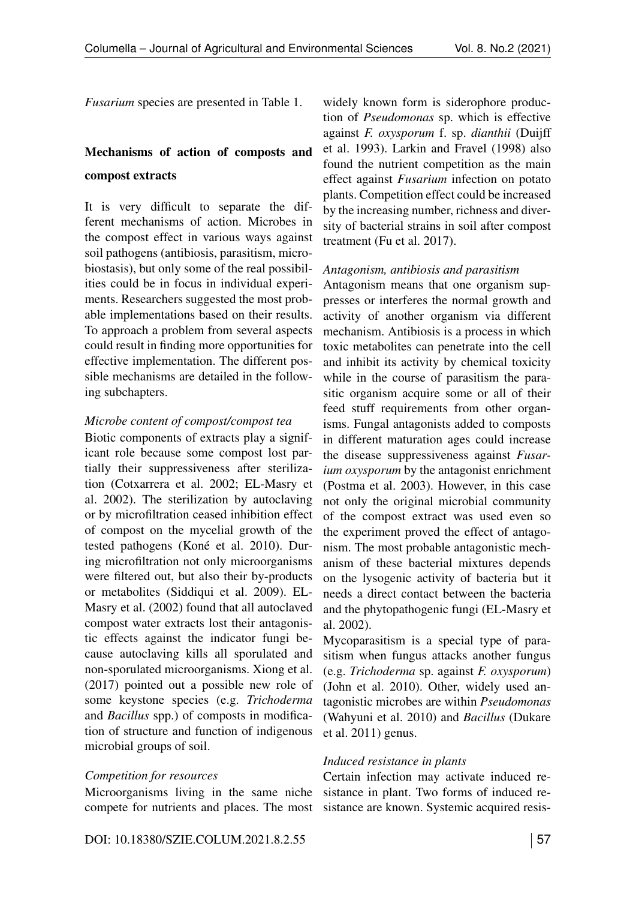*Fusarium* species are presented in Table 1.

# Mechanisms of action of composts and compost extracts

It is very difficult to separate the different mechanisms of action. Microbes in the compost effect in various ways against soil pathogens (antibiosis, parasitism, microbiostasis), but only some of the real possibilities could be in focus in individual experiments. Researchers suggested the most probable implementations based on their results. To approach a problem from several aspects could result in finding more opportunities for effective implementation. The different possible mechanisms are detailed in the following subchapters.

### *Microbe content of compost/compost tea*

Biotic components of extracts play a significant role because some compost lost partially their suppressiveness after sterilization (Cotxarrera et al. 2002; EL-Masry et al. 2002). The sterilization by autoclaving or by microfiltration ceased inhibition effect of compost on the mycelial growth of the tested pathogens (Koné et al. 2010). During microfiltration not only microorganisms were filtered out, but also their by-products or metabolites (Siddiqui et al. 2009). EL-Masry et al. (2002) found that all autoclaved compost water extracts lost their antagonistic effects against the indicator fungi because autoclaving kills all sporulated and non-sporulated microorganisms. Xiong et al. (2017) pointed out a possible new role of some keystone species (e.g. *Trichoderma* and *Bacillus* spp.) of composts in modification of structure and function of indigenous microbial groups of soil.

## *Competition for resources*

Microorganisms living in the same niche compete for nutrients and places. The most widely known form is siderophore production of *Pseudomonas* sp. which is effective against *F. oxysporum* f. sp. *dianthii* (Duijff et al. 1993). Larkin and Fravel (1998) also found the nutrient competition as the main effect against *Fusarium* infection on potato plants. Competition effect could be increased by the increasing number, richness and diversity of bacterial strains in soil after compost treatment (Fu et al. 2017).

### *Antagonism, antibiosis and parasitism*

Antagonism means that one organism suppresses or interferes the normal growth and activity of another organism via different mechanism. Antibiosis is a process in which toxic metabolites can penetrate into the cell and inhibit its activity by chemical toxicity while in the course of parasitism the parasitic organism acquire some or all of their feed stuff requirements from other organisms. Fungal antagonists added to composts in different maturation ages could increase the disease suppressiveness against *Fusarium oxysporum* by the antagonist enrichment (Postma et al. 2003). However, in this case not only the original microbial community of the compost extract was used even so the experiment proved the effect of antagonism. The most probable antagonistic mechanism of these bacterial mixtures depends on the lysogenic activity of bacteria but it needs a direct contact between the bacteria and the phytopathogenic fungi (EL-Masry et al. 2002).

Mycoparasitism is a special type of parasitism when fungus attacks another fungus (e.g. *Trichoderma* sp. against *F. oxysporum*) (John et al. 2010). Other, widely used antagonistic microbes are within *Pseudomonas* (Wahyuni et al. 2010) and *Bacillus* (Dukare et al. 2011) genus.

## *Induced resistance in plants*

Certain infection may activate induced resistance in plant. Two forms of induced resistance are known. Systemic acquired resis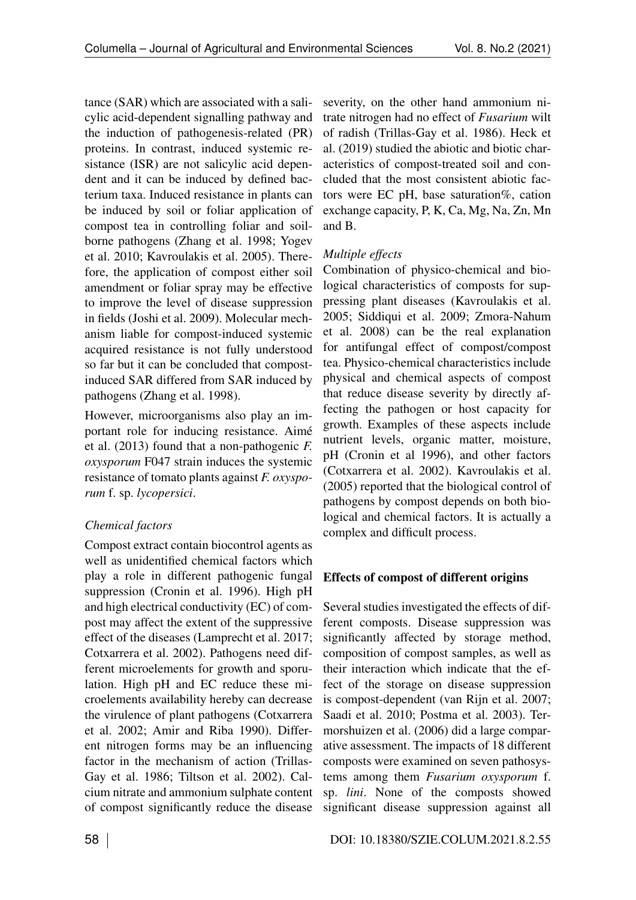tance (SAR) which are associated with a salicylic acid-dependent signalling pathway and the induction of pathogenesis-related (PR) proteins. In contrast, induced systemic resistance (ISR) are not salicylic acid dependent and it can be induced by defined bacterium taxa. Induced resistance in plants can be induced by soil or foliar application of compost tea in controlling foliar and soilborne pathogens (Zhang et al. 1998; Yogev et al. 2010; Kavroulakis et al. 2005). Therefore, the application of compost either soil amendment or foliar spray may be effective to improve the level of disease suppression in fields (Joshi et al. 2009). Molecular mechanism liable for compost-induced systemic acquired resistance is not fully understood so far but it can be concluded that compostinduced SAR differed from SAR induced by pathogens (Zhang et al. 1998).

However, microorganisms also play an important role for inducing resistance. Aimé et al. (2013) found that a non-pathogenic *F. oxysporum* F047 strain induces the systemic resistance of tomato plants against *F. oxysporum* f. sp. *lycopersici*.

## *Chemical factors*

Compost extract contain biocontrol agents as well as unidentified chemical factors which play a role in different pathogenic fungal suppression (Cronin et al. 1996). High pH and high electrical conductivity (EC) of compost may affect the extent of the suppressive effect of the diseases (Lamprecht et al. 2017; Cotxarrera et al. 2002). Pathogens need different microelements for growth and sporulation. High pH and EC reduce these microelements availability hereby can decrease the virulence of plant pathogens (Cotxarrera et al. 2002; Amir and Riba 1990). Different nitrogen forms may be an influencing factor in the mechanism of action (Trillas-Gay et al. 1986; Tiltson et al. 2002). Calcium nitrate and ammonium sulphate content of compost significantly reduce the disease severity, on the other hand ammonium nitrate nitrogen had no effect of *Fusarium* wilt of radish (Trillas-Gay et al. 1986). Heck et al. (2019) studied the abiotic and biotic characteristics of compost-treated soil and concluded that the most consistent abiotic factors were EC pH, base saturation%, cation exchange capacity, P, K, Ca, Mg, Na, Zn, Mn and B.

## *Multiple effects*

Combination of physico-chemical and biological characteristics of composts for suppressing plant diseases (Kavroulakis et al. 2005; Siddiqui et al. 2009; Zmora-Nahum et al. 2008) can be the real explanation for antifungal effect of compost/compost tea. Physico-chemical characteristics include physical and chemical aspects of compost that reduce disease severity by directly affecting the pathogen or host capacity for growth. Examples of these aspects include nutrient levels, organic matter, moisture, pH (Cronin et al 1996), and other factors (Cotxarrera et al. 2002). Kavroulakis et al. (2005) reported that the biological control of pathogens by compost depends on both biological and chemical factors. It is actually a complex and difficult process.

## Effects of compost of different origins

Several studies investigated the effects of different composts. Disease suppression was significantly affected by storage method, composition of compost samples, as well as their interaction which indicate that the effect of the storage on disease suppression is compost-dependent (van Rijn et al. 2007; Saadi et al. 2010; Postma et al. 2003). Termorshuizen et al. (2006) did a large comparative assessment. The impacts of 18 different composts were examined on seven pathosystems among them *Fusarium oxysporum* f. sp. *lini*. None of the composts showed significant disease suppression against all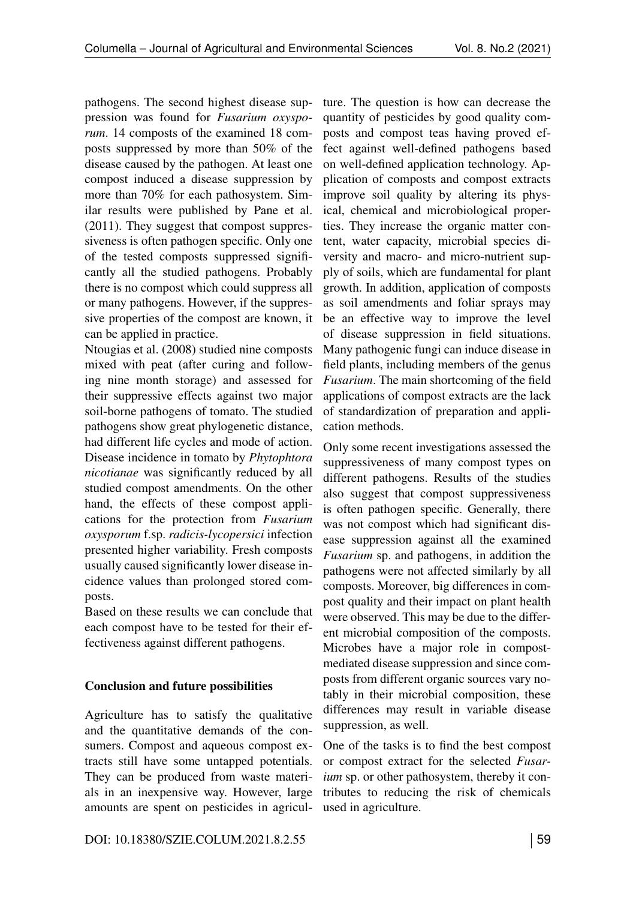pathogens. The second highest disease suppression was found for *Fusarium oxysporum*. 14 composts of the examined 18 composts suppressed by more than 50% of the disease caused by the pathogen. At least one compost induced a disease suppression by more than 70% for each pathosystem. Similar results were published by Pane et al. (2011). They suggest that compost suppressiveness is often pathogen specific. Only one of the tested composts suppressed significantly all the studied pathogens. Probably there is no compost which could suppress all or many pathogens. However, if the suppressive properties of the compost are known, it can be applied in practice.

Ntougias et al. (2008) studied nine composts mixed with peat (after curing and following nine month storage) and assessed for their suppressive effects against two major soil-borne pathogens of tomato. The studied pathogens show great phylogenetic distance, had different life cycles and mode of action. Disease incidence in tomato by *Phytophtora nicotianae* was significantly reduced by all studied compost amendments. On the other hand, the effects of these compost applications for the protection from *Fusarium oxysporum* f.sp. *radicis-lycopersici* infection presented higher variability. Fresh composts usually caused significantly lower disease incidence values than prolonged stored composts.

Based on these results we can conclude that each compost have to be tested for their effectiveness against different pathogens.

## Conclusion and future possibilities

Agriculture has to satisfy the qualitative and the quantitative demands of the consumers. Compost and aqueous compost extracts still have some untapped potentials. They can be produced from waste materials in an inexpensive way. However, large amounts are spent on pesticides in agricul-

ture. The question is how can decrease the quantity of pesticides by good quality composts and compost teas having proved effect against well-defined pathogens based on well-defined application technology. Application of composts and compost extracts improve soil quality by altering its physical, chemical and microbiological properties. They increase the organic matter content, water capacity, microbial species diversity and macro- and micro-nutrient supply of soils, which are fundamental for plant growth. In addition, application of composts as soil amendments and foliar sprays may be an effective way to improve the level of disease suppression in field situations. Many pathogenic fungi can induce disease in field plants, including members of the genus *Fusarium*. The main shortcoming of the field applications of compost extracts are the lack of standardization of preparation and application methods.

Only some recent investigations assessed the suppressiveness of many compost types on different pathogens. Results of the studies also suggest that compost suppressiveness is often pathogen specific. Generally, there was not compost which had significant disease suppression against all the examined *Fusarium* sp. and pathogens, in addition the pathogens were not affected similarly by all composts. Moreover, big differences in compost quality and their impact on plant health were observed. This may be due to the different microbial composition of the composts. Microbes have a major role in compostmediated disease suppression and since composts from different organic sources vary notably in their microbial composition, these differences may result in variable disease suppression, as well.

One of the tasks is to find the best compost or compost extract for the selected *Fusarium* sp. or other pathosystem, thereby it contributes to reducing the risk of chemicals used in agriculture.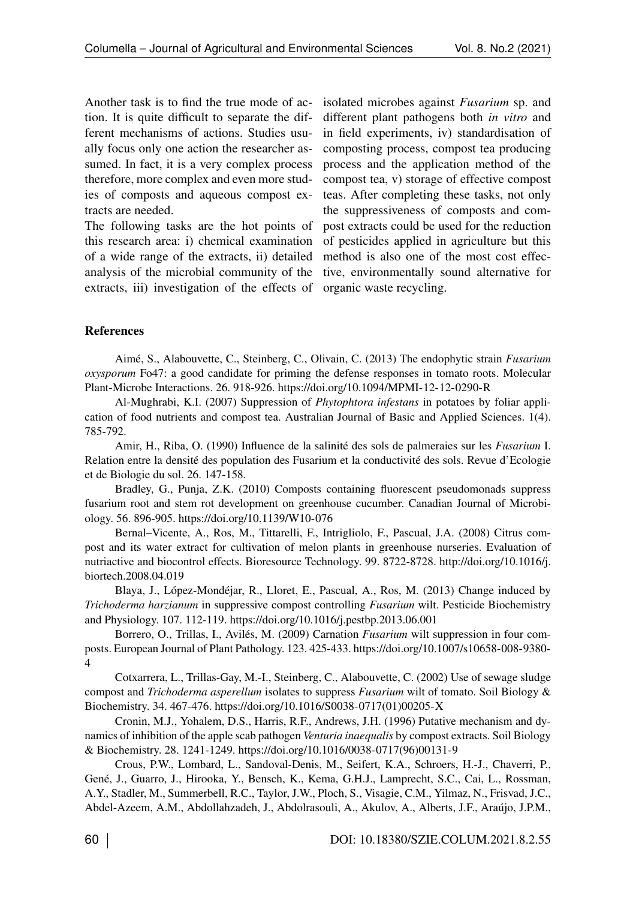Another task is to find the true mode of action. It is quite difficult to separate the different mechanisms of actions. Studies usually focus only one action the researcher assumed. In fact, it is a very complex process therefore, more complex and even more studies of composts and aqueous compost extracts are needed.

The following tasks are the hot points of this research area: i) chemical examination of a wide range of the extracts, ii) detailed analysis of the microbial community of the extracts, iii) investigation of the effects of

isolated microbes against *Fusarium* sp. and different plant pathogens both *in vitro* and in field experiments, iv) standardisation of composting process, compost tea producing process and the application method of the compost tea, v) storage of effective compost teas. After completing these tasks, not only the suppressiveness of composts and compost extracts could be used for the reduction of pesticides applied in agriculture but this method is also one of the most cost effective, environmentally sound alternative for organic waste recycling.

## References

Aimé, S., Alabouvette, C., Steinberg, C., Olivain, C. (2013) The endophytic strain *Fusarium oxysporum* Fo47: a good candidate for priming the defense responses in tomato roots. Molecular Plant-Microbe Interactions. 26. 918-926.<https://doi.org/10.1094/MPMI-12-12-0290-R>

Al-Mughrabi, K.I. (2007) Suppression of *Phytophtora infestans* in potatoes by foliar application of food nutrients and compost tea. Australian Journal of Basic and Applied Sciences. 1(4). 785-792.

Amir, H., Riba, O. (1990) Influence de la salinité des sols de palmeraies sur les *Fusarium* I. Relation entre la densité des population des Fusarium et la conductivité des sols. Revue d'Ecologie et de Biologie du sol. 26. 147-158.

Bradley, G., Punja, Z.K. (2010) Composts containing fluorescent pseudomonads suppress fusarium root and stem rot development on greenhouse cucumber. Canadian Journal of Microbiology. 56. 896-905.<https://doi.org/10.1139/W10-076>

Bernal–Vicente, A., Ros, M., Tittarelli, F., Intrigliolo, F., Pascual, J.A. (2008) Citrus compost and its water extract for cultivation of melon plants in greenhouse nurseries. Evaluation of nutriactive and biocontrol effects. Bioresource Technology. 99. 8722-8728. [http://doi.org/10.1016/j.](http://doi.org/%2010.1016/j.biortech.2008.04.019) [biortech.2008.04.019](http://doi.org/%2010.1016/j.biortech.2008.04.019)

Blaya, J., López-Mondéjar, R., Lloret, E., Pascual, A., Ros, M. (2013) Change induced by *Trichoderma harzianum* in suppressive compost controlling *Fusarium* wilt. Pesticide Biochemistry and Physiology. 107. 112-119.<https://doi.org/10.1016/j.pestbp.2013.06.001>

Borrero, O., Trillas, I., Avilés, M. (2009) Carnation *Fusarium* wilt suppression in four composts. European Journal of Plant Pathology. 123. 425-433. [https://doi.org/10.1007/s10658-008-9380-](https://doi.org/10.1007/s10658-008-9380-4) [4](https://doi.org/10.1007/s10658-008-9380-4)

Cotxarrera, L., Trillas-Gay, M.-I., Steinberg, C., Alabouvette, C. (2002) Use of sewage sludge compost and *Trichoderma asperellum* isolates to suppress *Fusarium* wilt of tomato. Soil Biology & Biochemistry. 34. 467-476. [https://doi.org/10.1016/S0038-0717\(01\)00205-X](https://doi.org/10.1016/S0038-0717(01)00205-X)

Cronin, M.J., Yohalem, D.S., Harris, R.F., Andrews, J.H. (1996) Putative mechanism and dynamics of inhibition of the apple scab pathogen *Venturia inaequalis* by compost extracts. Soil Biology & Biochemistry. 28. 1241-1249. [https://doi.org/10.1016/0038-0717\(96\)00131-9](https://doi.org/10.1016/0038-0717(96)00131-9)

Crous, P.W., Lombard, L., Sandoval-Denis, M., Seifert, K.A., Schroers, H.-J., Chaverri, P., Gené, J., Guarro, J., Hirooka, Y., Bensch, K., Kema, G.H.J., Lamprecht, S.C., Cai, L., Rossman, A.Y., Stadler, M., Summerbell, R.C., Taylor, J.W., Ploch, S., Visagie, C.M., Yilmaz, N., Frisvad, J.C., Abdel-Azeem, A.M., Abdollahzadeh, J., Abdolrasouli, A., Akulov, A., Alberts, J.F., Araújo, J.P.M.,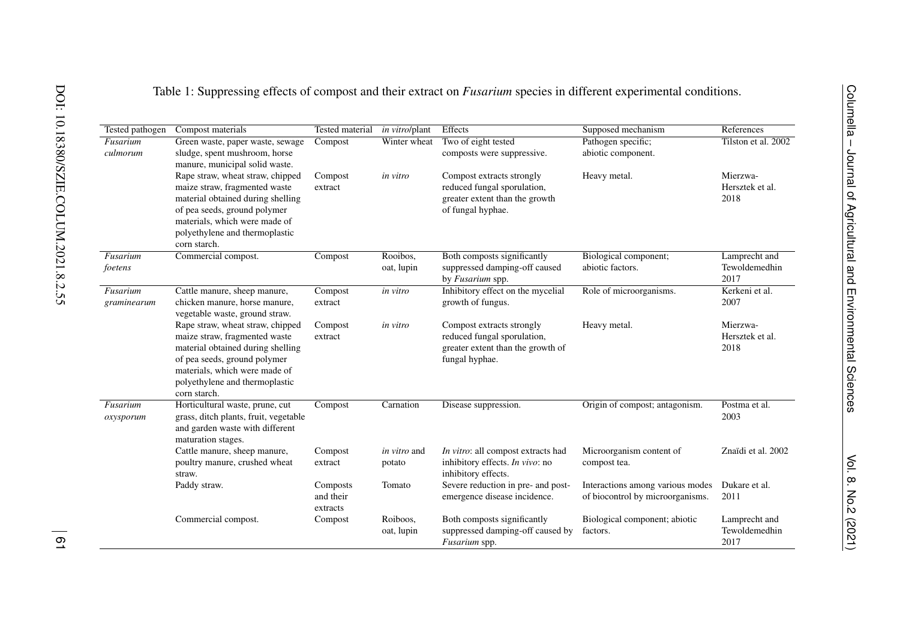|  |  | Table 1: Suppressing effects of compost and their extract on <i>Fusarium</i> species in different experimental conditions. |
|--|--|----------------------------------------------------------------------------------------------------------------------------|
|  |  |                                                                                                                            |

| Tested pathogen         | Compost materials                                                                                                                                                                                                         | <b>Tested material</b>            | in vitro/plant                | Effects                                                                                                         | Supposed mechanism                                                   | References                             |
|-------------------------|---------------------------------------------------------------------------------------------------------------------------------------------------------------------------------------------------------------------------|-----------------------------------|-------------------------------|-----------------------------------------------------------------------------------------------------------------|----------------------------------------------------------------------|----------------------------------------|
| Fusarium                | Green waste, paper waste, sewage                                                                                                                                                                                          | Compost                           | Winter wheat                  | Two of eight tested                                                                                             | Pathogen specific;                                                   | Tilston et al. 2002                    |
| culmorum                | sludge, spent mushroom, horse<br>manure, municipal solid waste.                                                                                                                                                           |                                   |                               | composts were suppressive.                                                                                      | abiotic component.                                                   |                                        |
|                         | Rape straw, wheat straw, chipped<br>maize straw, fragmented waste<br>material obtained during shelling<br>of pea seeds, ground polymer<br>materials, which were made of<br>polyethylene and thermoplastic<br>corn starch. | Compost<br>extract                | in vitro                      | Compost extracts strongly<br>reduced fungal sporulation,<br>greater extent than the growth<br>of fungal hyphae. | Heavy metal.                                                         | Mierzwa-<br>Hersztek et al.<br>2018    |
| Fusarium                | Commercial compost.                                                                                                                                                                                                       | Compost                           | Rooibos,                      | Both composts significantly                                                                                     | Biological component;                                                | Lamprecht and                          |
| foetens                 |                                                                                                                                                                                                                           |                                   | oat, lupin                    | suppressed damping-off caused<br>by Fusarium spp.                                                               | abiotic factors.                                                     | Tewoldemedhin<br>2017                  |
| Fusarium<br>graminearum | Cattle manure, sheep manure,<br>chicken manure, horse manure,<br>vegetable waste, ground straw.                                                                                                                           | Compost<br>extract                | in vitro                      | Inhibitory effect on the mycelial<br>growth of fungus.                                                          | Role of microorganisms.                                              | Kerkeni et al.<br>2007                 |
|                         | Rape straw, wheat straw, chipped<br>maize straw, fragmented waste<br>material obtained during shelling<br>of pea seeds, ground polymer<br>materials, which were made of<br>polyethylene and thermoplastic<br>corn starch. | Compost<br>extract                | in vitro                      | Compost extracts strongly<br>reduced fungal sporulation,<br>greater extent than the growth of<br>fungal hyphae. | Heavy metal.                                                         | Mierzwa-<br>Hersztek et al.<br>2018    |
| Fusarium<br>oxysporum   | Horticultural waste, prune, cut<br>grass, ditch plants, fruit, vegetable<br>and garden waste with different<br>maturation stages.                                                                                         | Compost                           | Carnation                     | Disease suppression.                                                                                            | Origin of compost; antagonism.                                       | Postma et al.<br>2003                  |
|                         | Cattle manure, sheep manure,<br>poultry manure, crushed wheat<br>straw.                                                                                                                                                   | Compost<br>extract                | <i>in vitro</i> and<br>potato | In vitro: all compost extracts had<br>inhibitory effects. In vivo: no<br>inhibitory effects.                    | Microorganism content of<br>compost tea.                             | Znaïdi et al. 2002                     |
|                         | Paddy straw.                                                                                                                                                                                                              | Composts<br>and their<br>extracts | Tomato                        | Severe reduction in pre- and post-<br>emergence disease incidence.                                              | Interactions among various modes<br>of biocontrol by microorganisms. | Dukare et al.<br>2011                  |
|                         | Commercial compost.                                                                                                                                                                                                       | Compost                           | Roiboos,<br>oat, lupin        | Both composts significantly<br>suppressed damping-off caused by<br>Fusarium spp.                                | Biological component; abiotic<br>factors.                            | Lamprecht and<br>Tewoldemedhin<br>2017 |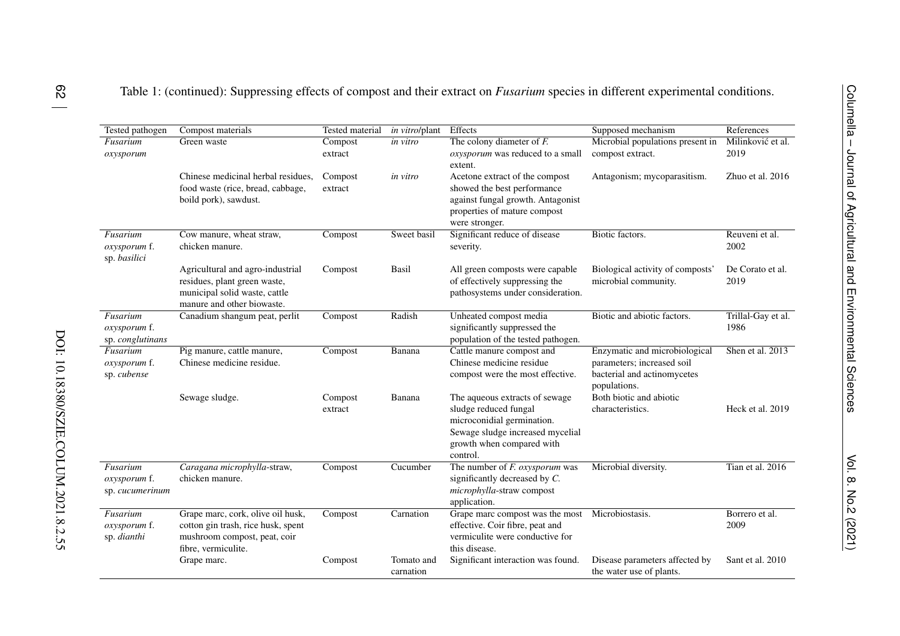| Tested pathogen                              | Compost materials                                                                                                               | <b>Tested material</b> | in vitro/plant          | Effects                                                                                                                                                            | Supposed mechanism                                                                                         | References                 |
|----------------------------------------------|---------------------------------------------------------------------------------------------------------------------------------|------------------------|-------------------------|--------------------------------------------------------------------------------------------------------------------------------------------------------------------|------------------------------------------------------------------------------------------------------------|----------------------------|
| Fusarium<br>oxysporum                        | Green waste                                                                                                                     | Compost<br>extract     | in vitro                | The colony diameter of $F$ .<br>oxysporum was reduced to a small<br>extent.                                                                                        | Microbial populations present in<br>compost extract.                                                       | Milinković et al.<br>2019  |
|                                              | Chinese medicinal herbal residues,<br>food waste (rice, bread, cabbage,<br>boild pork), sawdust.                                | Compost<br>extract     | <i>in vitro</i>         | Acetone extract of the compost<br>showed the best performance<br>against fungal growth. Antagonist<br>properties of mature compost<br>were stronger.               | Antagonism; mycoparasitism.                                                                                | Zhuo et al. 2016           |
| Fusarium<br>oxysporum f.<br>sp. basilici     | Cow manure, wheat straw,<br>chicken manure.                                                                                     | Compost                | Sweet basil             | Significant reduce of disease<br>severity.                                                                                                                         | Biotic factors.                                                                                            | Reuveni et al.<br>2002     |
|                                              | Agricultural and agro-industrial<br>residues, plant green waste,<br>municipal solid waste, cattle<br>manure and other biowaste. | Compost                | Basil                   | All green composts were capable<br>of effectively suppressing the<br>pathosystems under consideration.                                                             | Biological activity of composts'<br>microbial community.                                                   | De Corato et al.<br>2019   |
| Fusarium<br>oxysporum f.<br>sp. conglutinans | Canadium shangum peat, perlit                                                                                                   | Compost                | Radish                  | Unheated compost media<br>significantly suppressed the<br>population of the tested pathogen.                                                                       | Biotic and abiotic factors.                                                                                | Trillal-Gay et al.<br>1986 |
| Fusarium<br>oxysporum f.<br>sp. cubense      | Pig manure, cattle manure,<br>Chinese medicine residue.                                                                         | Compost                | Banana                  | Cattle manure compost and<br>Chinese medicine residue<br>compost were the most effective.                                                                          | Enzymatic and microbiological<br>parameters; increased soil<br>bacterial and actinomycetes<br>populations. | Shen et al. 2013           |
|                                              | Sewage sludge.                                                                                                                  | Compost<br>extract     | Banana                  | The aqueous extracts of sewage<br>sludge reduced fungal<br>microconidial germination.<br>Sewage sludge increased mycelial<br>growth when compared with<br>control. | Both biotic and abiotic<br>characteristics.                                                                | Heck et al. 2019           |
| Fusarium<br>oxysporum f.<br>sp. cucumerinum  | Caragana microphylla-straw,<br>chicken manure.                                                                                  | Compost                | Cucumber                | The number of $F$ . oxysporum was<br>significantly decreased by C.<br>microphylla-straw compost<br>application.                                                    | Microbial diversity.                                                                                       | Tian et al. 2016           |
| Fusarium<br>oxysporum f.<br>sp. dianthi      | Grape marc, cork, olive oil husk,<br>cotton gin trash, rice husk, spent<br>mushroom compost, peat, coir<br>fibre, vermiculite.  | Compost                | Carnation               | Grape marc compost was the most<br>effective. Coir fibre, peat and<br>vermiculite were conductive for<br>this disease.                                             | Microbiostasis.                                                                                            | Borrero et al.<br>2009     |
|                                              | Grape marc.                                                                                                                     | Compost                | Tomato and<br>carnation | Significant interaction was found.                                                                                                                                 | Disease parameters affected by<br>the water use of plants.                                                 | Sant et al. 2010           |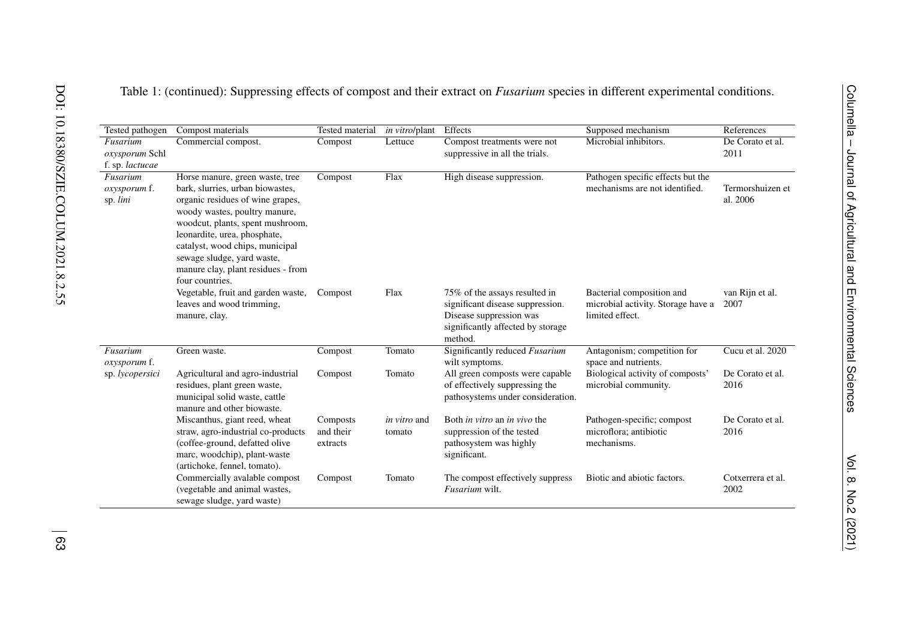| Tested pathogen                               | Compost materials                                                                                                                                                                                                                                                                                                                      | <b>Tested material</b>            | in vitro/plant                | Effects                                                                                                                                      | Supposed mechanism                                                                 | References                   |
|-----------------------------------------------|----------------------------------------------------------------------------------------------------------------------------------------------------------------------------------------------------------------------------------------------------------------------------------------------------------------------------------------|-----------------------------------|-------------------------------|----------------------------------------------------------------------------------------------------------------------------------------------|------------------------------------------------------------------------------------|------------------------------|
| Fusarium<br>oxysporum Schl<br>f. sp. lactucae | Commercial compost.                                                                                                                                                                                                                                                                                                                    | Compost                           | Lettuce                       | Compost treatments were not<br>suppressive in all the trials.                                                                                | Microbial inhibitors.                                                              | De Corato et al.<br>2011     |
| Fusarium<br>oxysporum f.<br>sp. lini          | Horse manure, green waste, tree<br>bark, slurries, urban biowastes,<br>organic residues of wine grapes,<br>woody wastes, poultry manure,<br>woodcut, plants, spent mushroom,<br>leonardite, urea, phosphate,<br>catalyst, wood chips, municipal<br>sewage sludge, yard waste,<br>manure clay, plant residues - from<br>four countries. | Compost                           | Flax                          | High disease suppression.                                                                                                                    | Pathogen specific effects but the<br>mechanisms are not identified.                | Termorshuizen et<br>al. 2006 |
|                                               | Vegetable, fruit and garden waste,<br>leaves and wood trimming,<br>manure, clay.                                                                                                                                                                                                                                                       | Compost                           | Flax                          | 75% of the assays resulted in<br>significant disease suppression.<br>Disease suppression was<br>significantly affected by storage<br>method. | Bacterial composition and<br>microbial activity. Storage have a<br>limited effect. | van Rijn et al.<br>2007      |
| Fusarium<br>oxysporum f.                      | Green waste.                                                                                                                                                                                                                                                                                                                           | Compost                           | Tomato                        | Significantly reduced Fusarium<br>wilt symptoms.                                                                                             | Antagonism; competition for<br>space and nutrients.                                | Cucu et al. 2020             |
| sp. lycopersici                               | Agricultural and agro-industrial<br>residues, plant green waste,<br>municipal solid waste, cattle<br>manure and other biowaste.                                                                                                                                                                                                        | Compost                           | Tomato                        | All green composts were capable<br>of effectively suppressing the<br>pathosystems under consideration.                                       | Biological activity of composts'<br>microbial community.                           | De Corato et al.<br>2016     |
|                                               | Miscanthus, giant reed, wheat<br>straw, agro-industrial co-products<br>(coffee-ground, defatted olive<br>marc, woodchip), plant-waste<br>(artichoke, fennel, tomato).                                                                                                                                                                  | Composts<br>and their<br>extracts | <i>in vitro</i> and<br>tomato | Both <i>in vitro</i> an <i>in vivo</i> the<br>suppression of the tested<br>pathosystem was highly<br>significant.                            | Pathogen-specific; compost<br>microflora; antibiotic<br>mechanisms.                | De Corato et al.<br>2016     |
|                                               | Commercially avalable compost<br>(vegetable and animal wastes,<br>sewage sludge, yard waste)                                                                                                                                                                                                                                           | Compost                           | Tomato                        | The compost effectively suppress<br>Fusarium wilt.                                                                                           | Biotic and abiotic factors.                                                        | Cotxerrera et al.<br>2002    |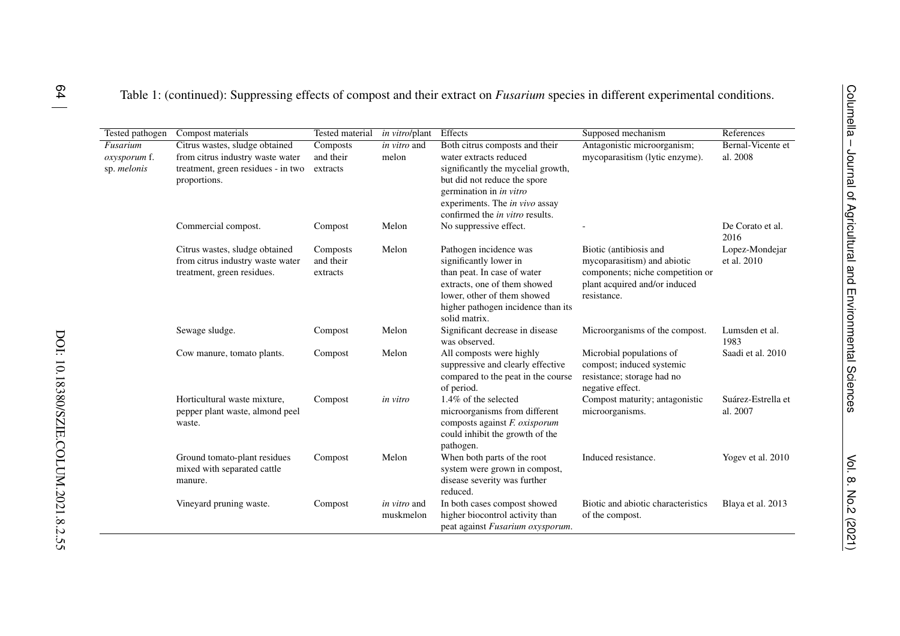| <b>Tested pathogen</b>                  | Compost materials                                                                                                        | Tested material                   | <i>in vitro/plant</i>                 | Effects                                                                                                                                                                                                                        | Supposed mechanism                                                                                                                        | References                           |
|-----------------------------------------|--------------------------------------------------------------------------------------------------------------------------|-----------------------------------|---------------------------------------|--------------------------------------------------------------------------------------------------------------------------------------------------------------------------------------------------------------------------------|-------------------------------------------------------------------------------------------------------------------------------------------|--------------------------------------|
| Fusarium<br>oxysporum f.<br>sp. melonis | Citrus wastes, sludge obtained<br>from citrus industry waste water<br>treatment, green residues - in two<br>proportions. | Composts<br>and their<br>extracts | $\overline{in \; vitro}$ and<br>melon | Both citrus composts and their<br>water extracts reduced<br>significantly the mycelial growth,<br>but did not reduce the spore<br>germination in in vitro<br>experiments. The in vivo assay<br>confirmed the in vitro results. | Antagonistic microorganism;<br>mycoparasitism (lytic enzyme).                                                                             | <b>Bernal-Vicente et</b><br>al. 2008 |
|                                         | Commercial compost.                                                                                                      | Compost                           | Melon                                 | No suppressive effect.                                                                                                                                                                                                         |                                                                                                                                           | De Corato et al.<br>2016             |
|                                         | Citrus wastes, sludge obtained<br>from citrus industry waste water<br>treatment, green residues.                         | Composts<br>and their<br>extracts | Melon                                 | Pathogen incidence was<br>significantly lower in<br>than peat. In case of water<br>extracts, one of them showed<br>lower, other of them showed<br>higher pathogen incidence than its<br>solid matrix.                          | Biotic (antibiosis and<br>mycoparasitism) and abiotic<br>components; niche competition or<br>plant acquired and/or induced<br>resistance. | Lopez-Mondejar<br>et al. 2010        |
|                                         | Sewage sludge.                                                                                                           | Compost                           | Melon                                 | Significant decrease in disease<br>was observed.                                                                                                                                                                               | Microorganisms of the compost.                                                                                                            | Lumsden et al.<br>1983               |
|                                         | Cow manure, tomato plants.                                                                                               | Compost                           | Melon                                 | All composts were highly<br>suppressive and clearly effective<br>compared to the peat in the course<br>of period.                                                                                                              | Microbial populations of<br>compost; induced systemic<br>resistance; storage had no<br>negative effect.                                   | Saadi et al. 2010                    |
|                                         | Horticultural waste mixture,<br>pepper plant waste, almond peel<br>waste.                                                | Compost                           | in vitro                              | 1.4% of the selected<br>microorganisms from different<br>composts against F. oxisporum<br>could inhibit the growth of the<br>pathogen.                                                                                         | Compost maturity; antagonistic<br>microorganisms.                                                                                         | Suárez-Estrella et<br>al. 2007       |
|                                         | Ground tomato-plant residues<br>mixed with separated cattle<br>manure.                                                   | Compost                           | Melon                                 | When both parts of the root<br>system were grown in compost,<br>disease severity was further<br>reduced.                                                                                                                       | Induced resistance.                                                                                                                       | Yogev et al. 2010                    |
|                                         | Vineyard pruning waste.                                                                                                  | Compost                           | <i>in vitro</i> and<br>muskmelon      | In both cases compost showed<br>higher biocontrol activity than<br>peat against Fusarium oxysporum.                                                                                                                            | Biotic and abiotic characteristics<br>of the compost.                                                                                     | Blaya et al. 2013                    |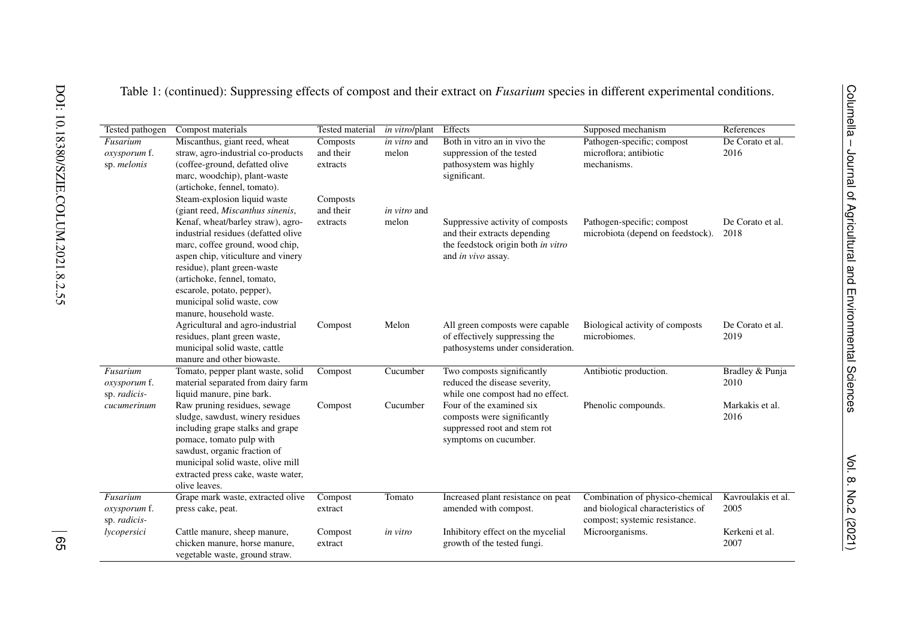| Tested pathogen                          | Compost materials                                                                                                                                                                                                                                                  | Tested material                   | in vitro/plant               | Effects                                                                                                          | Supposed mechanism                                                                                    | References                 |
|------------------------------------------|--------------------------------------------------------------------------------------------------------------------------------------------------------------------------------------------------------------------------------------------------------------------|-----------------------------------|------------------------------|------------------------------------------------------------------------------------------------------------------|-------------------------------------------------------------------------------------------------------|----------------------------|
| Fusarium<br>oxysporum f.<br>sp. melonis  | Miscanthus, giant reed, wheat<br>straw, agro-industrial co-products<br>(coffee-ground, defatted olive<br>marc, woodchip), plant-waste<br>(artichoke, fennel, tomato).                                                                                              | Composts<br>and their<br>extracts | in vitro and<br>melon        | Both in vitro an in vivo the<br>suppression of the tested<br>pathosystem was highly<br>significant.              | Pathogen-specific; compost<br>microflora; antibiotic<br>mechanisms.                                   | De Corato et al.<br>2016   |
|                                          | Steam-explosion liquid waste<br>(giant reed, Miscanthus sinenis,<br>Kenaf, wheat/barley straw), agro-                                                                                                                                                              | Composts<br>and their<br>extracts | <i>in vitro</i> and<br>melon | Suppressive activity of composts                                                                                 | Pathogen-specific; compost                                                                            | De Corato et al.           |
|                                          | industrial residues (defatted olive<br>marc, coffee ground, wood chip,<br>aspen chip, viticulture and vinery<br>residue), plant green-waste<br>(artichoke, fennel, tomato,<br>escarole, potato, pepper),<br>municipal solid waste, cow<br>manure, household waste. |                                   |                              | and their extracts depending<br>the feedstock origin both in vitro<br>and in vivo assay.                         | microbiota (depend on feedstock).                                                                     | 2018                       |
|                                          | Agricultural and agro-industrial<br>residues, plant green waste,<br>municipal solid waste, cattle<br>manure and other biowaste.                                                                                                                                    | Compost                           | Melon                        | All green composts were capable<br>of effectively suppressing the<br>pathosystems under consideration.           | Biological activity of composts<br>microbiomes.                                                       | De Corato et al.<br>2019   |
| Fusarium<br>oxysporum f.<br>sp. radicis- | Tomato, pepper plant waste, solid<br>material separated from dairy farm<br>liquid manure, pine bark.                                                                                                                                                               | Compost                           | Cucumber                     | Two composts significantly<br>reduced the disease severity,<br>while one compost had no effect.                  | Antibiotic production.                                                                                | Bradley & Punja<br>2010    |
| cucumerinum                              | Raw pruning residues, sewage<br>sludge, sawdust, winery residues<br>including grape stalks and grape<br>pomace, tomato pulp with<br>sawdust, organic fraction of<br>municipal solid waste, olive mill<br>extracted press cake, waste water,<br>olive leaves.       | Compost                           | Cucumber                     | Four of the examined six<br>composts were significantly<br>suppressed root and stem rot<br>symptoms on cucumber. | Phenolic compounds.                                                                                   | Markakis et al.<br>2016    |
| Fusarium<br>oxysporum f.<br>sp. radicis- | Grape mark waste, extracted olive<br>press cake, peat.                                                                                                                                                                                                             | Compost<br>extract                | Tomato                       | Increased plant resistance on peat<br>amended with compost.                                                      | Combination of physico-chemical<br>and biological characteristics of<br>compost; systemic resistance. | Kavroulakis et al.<br>2005 |
| lycopersici                              | Cattle manure, sheep manure,<br>chicken manure, horse manure,<br>vegetable waste, ground straw.                                                                                                                                                                    | Compost<br>extract                | in vitro                     | Inhibitory effect on the mycelial<br>growth of the tested fungi.                                                 | Microorganisms.                                                                                       | Kerkeni et al.<br>2007     |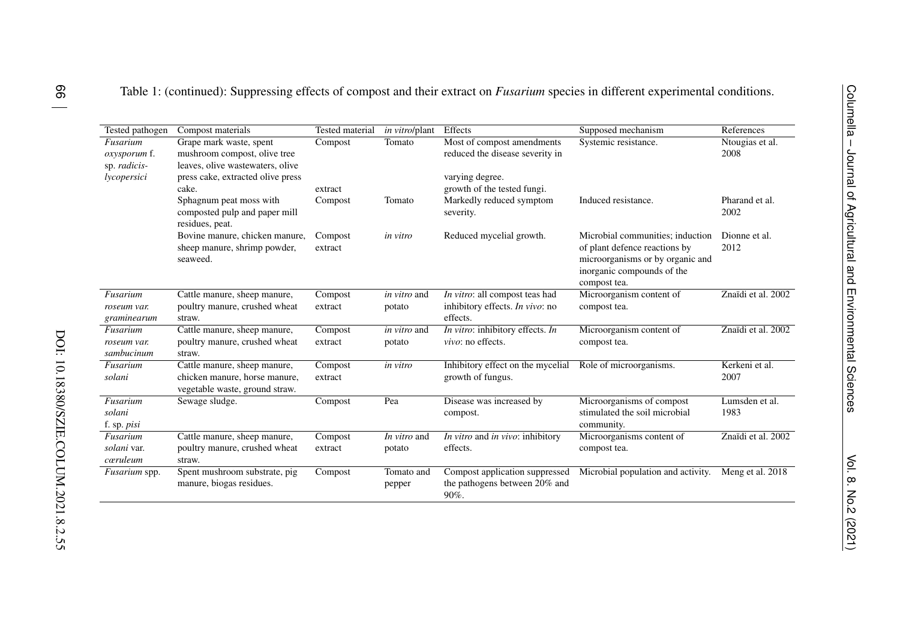| Tested pathogen                          | Compost materials                                                                               | Tested material    | <i>in vitro/plant</i>         | Effects                                                                 | Supposed mechanism                                                                                                                                  | References              |
|------------------------------------------|-------------------------------------------------------------------------------------------------|--------------------|-------------------------------|-------------------------------------------------------------------------|-----------------------------------------------------------------------------------------------------------------------------------------------------|-------------------------|
| Fusarium<br>oxysporum f.<br>sp. radicis- | Grape mark waste, spent<br>mushroom compost, olive tree<br>leaves, olive wastewaters, olive     | Compost            | Tomato                        | Most of compost amendments<br>reduced the disease severity in           | Systemic resistance.                                                                                                                                | Ntougias et al.<br>2008 |
| lycopersici                              | press cake, extracted olive press                                                               |                    |                               | varying degree.                                                         |                                                                                                                                                     |                         |
|                                          | cake.                                                                                           | extract            |                               | growth of the tested fungi.                                             |                                                                                                                                                     |                         |
|                                          | Sphagnum peat moss with<br>composted pulp and paper mill<br>residues, peat.                     | Compost            | Tomato                        | Markedly reduced symptom<br>severity.                                   | Induced resistance.                                                                                                                                 | Pharand et al.<br>2002  |
|                                          | Bovine manure, chicken manure,<br>sheep manure, shrimp powder,<br>seaweed.                      | Compost<br>extract | in vitro                      | Reduced mycelial growth.                                                | Microbial communities; induction<br>of plant defence reactions by<br>microorganisms or by organic and<br>inorganic compounds of the<br>compost tea. | Dionne et al.<br>2012   |
| Fusarium                                 | Cattle manure, sheep manure,                                                                    | Compost            | <i>in vitro</i> and           | In vitro: all compost teas had                                          | Microorganism content of                                                                                                                            | Znaïdi et al. 2002      |
| roseum var.<br>graminearum               | poultry manure, crushed wheat<br>straw.                                                         | extract            | potato                        | inhibitory effects. In vivo: no<br>effects.                             | compost tea.                                                                                                                                        |                         |
| Fusarium<br>roseum var.<br>sambucinum    | Cattle manure, sheep manure,<br>poultry manure, crushed wheat<br>straw.                         | Compost<br>extract | <i>in vitro</i> and<br>potato | In vitro: inhibitory effects. In<br>vivo: no effects.                   | Microorganism content of<br>compost tea.                                                                                                            | Znaïdi et al. 2002      |
| Fusarium<br>solani                       | Cattle manure, sheep manure,<br>chicken manure, horse manure,<br>vegetable waste, ground straw. | Compost<br>extract | in vitro                      | Inhibitory effect on the mycelial<br>growth of fungus.                  | Role of microorganisms.                                                                                                                             | Kerkeni et al.<br>2007  |
| Fusarium<br>solani<br>f. sp. <i>pisi</i> | Sewage sludge.                                                                                  | Compost            | Pea                           | Disease was increased by<br>compost.                                    | Microorganisms of compost<br>stimulated the soil microbial<br>community.                                                                            | Lumsden et al.<br>1983  |
| Fusarium<br>solani var.<br>cœruleum      | Cattle manure, sheep manure,<br>poultry manure, crushed wheat<br>straw.                         | Compost<br>extract | In vitro and<br>potato        | In vitro and in vivo: inhibitory<br>effects.                            | Microorganisms content of<br>compost tea.                                                                                                           | Znaïdi et al. 2002      |
| Fusarium spp.                            | Spent mushroom substrate, pig<br>manure, biogas residues.                                       | Compost            | Tomato and<br>pepper          | Compost application suppressed<br>the pathogens between 20% and<br>90%. | Microbial population and activity.                                                                                                                  | Meng et al. 2018        |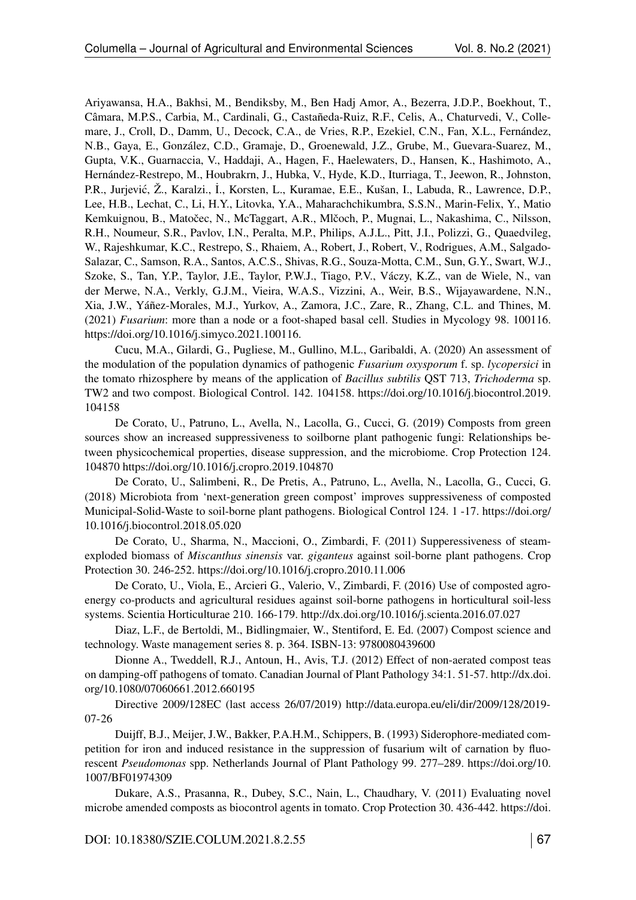Ariyawansa, H.A., Bakhsi, M., Bendiksby, M., Ben Hadj Amor, A., Bezerra, J.D.P., Boekhout, T., Câmara, M.P.S., Carbia, M., Cardinali, G., Castañeda-Ruiz, R.F., Celis, A., Chaturvedi, V., Collemare, J., Croll, D., Damm, U., Decock, C.A., de Vries, R.P., Ezekiel, C.N., Fan, X.L., Fernández, N.B., Gaya, E., González, C.D., Gramaje, D., Groenewald, J.Z., Grube, M., Guevara-Suarez, M., Gupta, V.K., Guarnaccia, V., Haddaji, A., Hagen, F., Haelewaters, D., Hansen, K., Hashimoto, A., Hernández-Restrepo, M., Houbrakrn, J., Hubka, V., Hyde, K.D., Iturriaga, T., Jeewon, R., Johnston, P.R., Jurjević, Ž., Karalzi., İ., Korsten, L., Kuramae, E.E., Kušan, I., Labuda, R., Lawrence, D.P., Lee, H.B., Lechat, C., Li, H.Y., Litovka, Y.A., Maharachchikumbra, S.S.N., Marin-Felix, Y., Matio Kemkuignou, B., Matočec, N., McTaggart, A.R., Mlčoch, P., Mugnai, L., Nakashima, C., Nilsson, R.H., Noumeur, S.R., Pavlov, I.N., Peralta, M.P., Philips, A.J.L., Pitt, J.I., Polizzi, G., Quaedvileg, W., Rajeshkumar, K.C., Restrepo, S., Rhaiem, A., Robert, J., Robert, V., Rodrigues, A.M., Salgado-Salazar, C., Samson, R.A., Santos, A.C.S., Shivas, R.G., Souza-Motta, C.M., Sun, G.Y., Swart, W.J., Szoke, S., Tan, Y.P., Taylor, J.E., Taylor, P.W.J., Tiago, P.V., Váczy, K.Z., van de Wiele, N., van der Merwe, N.A., Verkly, G.J.M., Vieira, W.A.S., Vizzini, A., Weir, B.S., Wijayawardene, N.N., Xia, J.W., Yáñez-Morales, M.J., Yurkov, A., Zamora, J.C., Zare, R., Zhang, C.L. and Thines, M. (2021) *Fusarium*: more than a node or a foot-shaped basal cell. Studies in Mycology 98. 100116. <https://doi.org/10.1016/j.simyco.2021.100116.>

Cucu, M.A., Gilardi, G., Pugliese, M., Gullino, M.L., Garibaldi, A. (2020) An assessment of the modulation of the population dynamics of pathogenic *Fusarium oxysporum* f. sp. *lycopersici* in the tomato rhizosphere by means of the application of *Bacillus subtilis* QST 713, *Trichoderma* sp. TW2 and two compost. Biological Control. 142. 104158. [https://doi.org/10.1016/j.biocontrol.2019.](https://doi.org/10.1016/j.biocontrol.2019.104158) [104158](https://doi.org/10.1016/j.biocontrol.2019.104158)

De Corato, U., Patruno, L., Avella, N., Lacolla, G., Cucci, G. (2019) Composts from green sources show an increased suppressiveness to soilborne plant pathogenic fungi: Relationships between physicochemical properties, disease suppression, and the microbiome. Crop Protection 124. 104870<https://doi.org/10.1016/j.cropro.2019.104870>

De Corato, U., Salimbeni, R., De Pretis, A., Patruno, L., Avella, N., Lacolla, G., Cucci, G. (2018) Microbiota from 'next-generation green compost' improves suppressiveness of composted Municipal-Solid-Waste to soil-borne plant pathogens. Biological Control 124. 1 -17. [https://doi.org/](https://doi.org/10.1016/j.biocontrol.2018.05.020) [10.1016/j.biocontrol.2018.05.020](https://doi.org/10.1016/j.biocontrol.2018.05.020)

De Corato, U., Sharma, N., Maccioni, O., Zimbardi, F. (2011) Supperessiveness of steamexploded biomass of *Miscanthus sinensis* var. *giganteus* against soil-borne plant pathogens. Crop Protection 30. 246-252.<https://doi.org/10.1016/j.cropro.2010.11.006>

De Corato, U., Viola, E., Arcieri G., Valerio, V., Zimbardi, F. (2016) Use of composted agroenergy co-products and agricultural residues against soil-borne pathogens in horticultural soil-less systems. Scientia Horticulturae 210. 166-179.<http://dx.doi.org/10.1016/j.scienta.2016.07.027>

Diaz, L.F., de Bertoldi, M., Bidlingmaier, W., Stentiford, E. Ed. (2007) Compost science and technology. Waste management series 8. p. 364. ISBN-13: 9780080439600

Dionne A., Tweddell, R.J., Antoun, H., Avis, T.J. (2012) Effect of non-aerated compost teas on damping-off pathogens of tomato. Canadian Journal of Plant Pathology 34:1. 51-57. [http://dx.doi.](http://dx.doi.org/10.1080/07060661.2012.660195) [org/10.1080/07060661.2012.660195](http://dx.doi.org/10.1080/07060661.2012.660195)

Directive 2009/128EC (last access 26/07/2019) [http://data.europa.eu/eli/dir/2009/128/2019-](http://data.europa.eu/eli/dir/2009/128/2019-07-26) [07-26](http://data.europa.eu/eli/dir/2009/128/2019-07-26)

Duijff, B.J., Meijer, J.W., Bakker, P.A.H.M., Schippers, B. (1993) Siderophore-mediated competition for iron and induced resistance in the suppression of fusarium wilt of carnation by fluorescent *Pseudomonas* spp. Netherlands Journal of Plant Pathology 99. 277–289. [https://doi.org/10.](https://doi.org/10.1007/BF01974309) [1007/BF01974309](https://doi.org/10.1007/BF01974309)

Dukare, A.S., Prasanna, R., Dubey, S.C., Nain, L., Chaudhary, V. (2011) Evaluating novel microbe amended composts as biocontrol agents in tomato. Crop Protection 30. 436-442. [https://doi.](https://doi.org/10.1016/j.cropro.2010.12.017)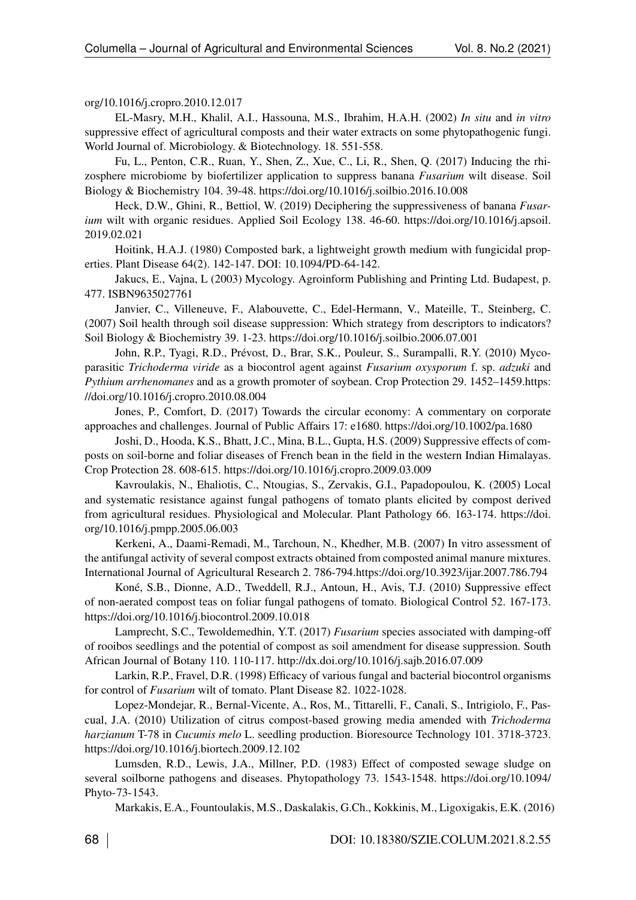### [org/10.1016/j.cropro.2010.12.017](https://doi.org/10.1016/j.cropro.2010.12.017)

EL-Masry, M.H., Khalil, A.I., Hassouna, M.S., Ibrahim, H.A.H. (2002) *In situ* and *in vitro* suppressive effect of agricultural composts and their water extracts on some phytopathogenic fungi. World Journal of. Microbiology. & Biotechnology. 18. 551-558.

Fu, L., Penton, C.R., Ruan, Y., Shen, Z., Xue, C., Li, R., Shen, Q. (2017) Inducing the rhizosphere microbiome by biofertilizer application to suppress banana *Fusarium* wilt disease. Soil Biology & Biochemistry 104. 39-48.<https://doi.org/10.1016/j.soilbio.2016.10.008>

Heck, D.W., Ghini, R., Bettiol, W. (2019) Deciphering the suppressiveness of banana *Fusarium* wilt with organic residues. Applied Soil Ecology 138. 46-60. [https://doi.org/10.1016/j.apsoil.](https://doi.org/10.1016/j.apsoil.2019.02.021) [2019.02.021](https://doi.org/10.1016/j.apsoil.2019.02.021)

Hoitink, H.A.J. (1980) Composted bark, a lightweight growth medium with fungicidal properties. Plant Disease 64(2). 142-147. DOI: 10.1094/PD-64-142.

Jakucs, E., Vajna, L (2003) Mycology. Agroinform Publishing and Printing Ltd. Budapest, p. 477. ISBN9635027761

Janvier, C., Villeneuve, F., Alabouvette, C., Edel-Hermann, V., Mateille, T., Steinberg, C. (2007) Soil health through soil disease suppression: Which strategy from descriptors to indicators? Soil Biology & Biochemistry 39. 1-23.<https://doi.org/10.1016/j.soilbio.2006.07.001>

John, R.P., Tyagi, R.D., Prévost, D., Brar, S.K., Pouleur, S., Surampalli, R.Y. (2010) Mycoparasitic *Trichoderma viride* as a biocontrol agent against *Fusarium oxysporum* f. sp. *adzuki* and *Pythium arrhenomanes* and as a growth promoter of soybean. Crop Protection 29. 1452–1459[.https:](https://doi.org/10.1016/j.cropro.2010.08.004) [//doi.org/10.1016/j.cropro.2010.08.004](https://doi.org/10.1016/j.cropro.2010.08.004)

Jones, P., Comfort, D. (2017) Towards the circular economy: A commentary on corporate approaches and challenges. Journal of Public Affairs 17: e1680.<https://doi.org/10.1002/pa.1680>

Joshi, D., Hooda, K.S., Bhatt, J.C., Mina, B.L., Gupta, H.S. (2009) Suppressive effects of composts on soil-borne and foliar diseases of French bean in the field in the western Indian Himalayas. Crop Protection 28. 608-615.<https://doi.org/10.1016/j.cropro.2009.03.009>

Kavroulakis, N., Ehaliotis, C., Ntougias, S., Zervakis, G.I., Papadopoulou, K. (2005) Local and systematic resistance against fungal pathogens of tomato plants elicited by compost derived from agricultural residues. Physiological and Molecular. Plant Pathology 66. 163-174. [https://doi.](https://doi.org/10.1016/j.pmpp.2005.06.003) [org/10.1016/j.pmpp.2005.06.003](https://doi.org/10.1016/j.pmpp.2005.06.003)

Kerkeni, A., Daami-Remadi, M., Tarchoun, N., Khedher, M.B. (2007) In vitro assessment of the antifungal activity of several compost extracts obtained from composted animal manure mixtures. International Journal of Agricultural Research 2. 786-794[.https://doi.org/10.3923/ijar.2007.786.794](https://doi.org/10.3923/ijar.2007.786.794)

Koné, S.B., Dionne, A.D., Tweddell, R.J., Antoun, H., Avis, T.J. (2010) Suppressive effect of non-aerated compost teas on foliar fungal pathogens of tomato. Biological Control 52. 167-173. <https://doi.org/10.1016/j.biocontrol.2009.10.018>

Lamprecht, S.C., Tewoldemedhin, Y.T. (2017) *Fusarium* species associated with damping-off of rooibos seedlings and the potential of compost as soil amendment for disease suppression. South African Journal of Botany 110. 110-117.<http://dx.doi.org/10.1016/j.sajb.2016.07.009>

Larkin, R.P., Fravel, D.R. (1998) Efficacy of various fungal and bacterial biocontrol organisms for control of *Fusarium* wilt of tomato. Plant Disease 82. 1022-1028.

Lopez-Mondejar, R., Bernal-Vicente, A., Ros, M., Tittarelli, F., Canali, S., Intrigiolo, F., Pascual, J.A. (2010) Utilization of citrus compost-based growing media amended with *Trichoderma harzianum* T-78 in *Cucumis melo* L. seedling production. Bioresource Technology 101. 3718-3723. <https://doi.org/10.1016/j.biortech.2009.12.102>

Lumsden, R.D., Lewis, J.A., Millner, P.D. (1983) Effect of composted sewage sludge on several soilborne pathogens and diseases. Phytopathology 73. 1543-1548. [https://doi.org/10.1094/](https://doi.org/10.1094/Phyto-73-1543.) [Phyto-73-1543.](https://doi.org/10.1094/Phyto-73-1543.)

Markakis, E.A., Fountoulakis, M.S., Daskalakis, G.Ch., Kokkinis, M., Ligoxigakis, E.K. (2016)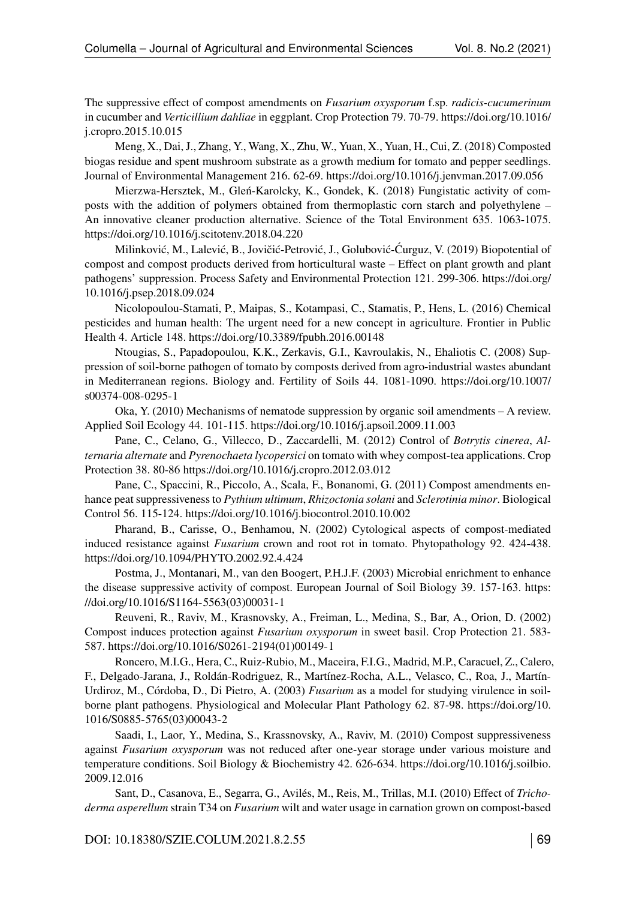The suppressive effect of compost amendments on *Fusarium oxysporum* f.sp. *radicis-cucumerinum* in cucumber and *Verticillium dahliae* in eggplant. Crop Protection 79. 70-79. [https://doi.org/10.1016/](https://doi.org/10.1016/j.cropro.2015.10.015) [j.cropro.2015.10.015](https://doi.org/10.1016/j.cropro.2015.10.015)

Meng, X., Dai, J., Zhang, Y., Wang, X., Zhu, W., Yuan, X., Yuan, H., Cui, Z. (2018) Composted biogas residue and spent mushroom substrate as a growth medium for tomato and pepper seedlings. Journal of Environmental Management 216. 62-69.<https://doi.org/10.1016/j.jenvman.2017.09.056>

Mierzwa-Hersztek, M., Gleń-Karolcky, K., Gondek, K. (2018) Fungistatic activity of composts with the addition of polymers obtained from thermoplastic corn starch and polyethylene – An innovative cleaner production alternative. Science of the Total Environment 635. 1063-1075. <https://doi.org/10.1016/j.scitotenv.2018.04.220>

Milinković, M., Lalević, B., Jovičić-Petrović, J., Golubović-Ćurguz, V. (2019) Biopotential of compost and compost products derived from horticultural waste – Effect on plant growth and plant pathogens' suppression. Process Safety and Environmental Protection 121. 299-306. [https://doi.org/](https://doi.org/10.1016/j.psep.2018.09.024) [10.1016/j.psep.2018.09.024](https://doi.org/10.1016/j.psep.2018.09.024)

Nicolopoulou-Stamati, P., Maipas, S., Kotampasi, C., Stamatis, P., Hens, L. (2016) Chemical pesticides and human health: The urgent need for a new concept in agriculture. Frontier in Public Health 4. Article 148.<https://doi.org/10.3389/fpubh.2016.00148>

Ntougias, S., Papadopoulou, K.K., Zerkavis, G.I., Kavroulakis, N., Ehaliotis C. (2008) Suppression of soil-borne pathogen of tomato by composts derived from agro-industrial wastes abundant in Mediterranean regions. Biology and. Fertility of Soils 44. 1081-1090. [https://doi.org/10.1007/](https://doi.org/10.1007/s00374-008-0295-1) [s00374-008-0295-1](https://doi.org/10.1007/s00374-008-0295-1)

Oka, Y. (2010) Mechanisms of nematode suppression by organic soil amendments – A review. Applied Soil Ecology 44. 101-115.<https://doi.org/10.1016/j.apsoil.2009.11.003>

Pane, C., Celano, G., Villecco, D., Zaccardelli, M. (2012) Control of *Botrytis cinerea*, *Alternaria alternate* and *Pyrenochaeta lycopersici* on tomato with whey compost-tea applications. Crop Protection 38. 80-86<https://doi.org/10.1016/j.cropro.2012.03.012>

Pane, C., Spaccini, R., Piccolo, A., Scala, F., Bonanomi, G. (2011) Compost amendments enhance peat suppressiveness to *Pythium ultimum*, *Rhizoctonia solani* and *Sclerotinia minor*. Biological Control 56. 115-124.<https://doi.org/10.1016/j.biocontrol.2010.10.002>

Pharand, B., Carisse, O., Benhamou, N. (2002) Cytological aspects of compost-mediated induced resistance against *Fusarium* crown and root rot in tomato. Phytopathology 92. 424-438. <https://doi.org/10.1094/PHYTO.2002.92.4.424>

Postma, J., Montanari, M., van den Boogert, P.H.J.F. (2003) Microbial enrichment to enhance the disease suppressive activity of compost. European Journal of Soil Biology 39. 157-163. [https:](https://doi.org/10.1016/S1164-5563(03)00031-1) [//doi.org/10.1016/S1164-5563\(03\)00031-1](https://doi.org/10.1016/S1164-5563(03)00031-1)

Reuveni, R., Raviv, M., Krasnovsky, A., Freiman, L., Medina, S., Bar, A., Orion, D. (2002) Compost induces protection against *Fusarium oxysporum* in sweet basil. Crop Protection 21. 583- 587. [https://doi.org/10.1016/S0261-2194\(01\)00149-1](https://doi.org/10.1016/S0261-2194(01)00149-1)

Roncero, M.I.G., Hera, C., Ruiz-Rubio, M., Maceira, F.I.G., Madrid, M.P., Caracuel, Z., Calero, F., Delgado-Jarana, J., Roldán-Rodriguez, R., Martínez-Rocha, A.L., Velasco, C., Roa, J., Martín-Urdiroz, M., Córdoba, D., Di Pietro, A. (2003) *Fusarium* as a model for studying virulence in soilborne plant pathogens. Physiological and Molecular Plant Pathology 62. 87-98. [https://doi.org/10.](https://doi.org/10.1016/S0885-5765(03)00043-2) [1016/S0885-5765\(03\)00043-2](https://doi.org/10.1016/S0885-5765(03)00043-2)

Saadi, I., Laor, Y., Medina, S., Krassnovsky, A., Raviv, M. (2010) Compost suppressiveness against *Fusarium oxysporum* was not reduced after one-year storage under various moisture and temperature conditions. Soil Biology & Biochemistry 42. 626-634. [https://doi.org/10.1016/j.soilbio.](https://doi.org/10.1016/j.soilbio.2009.12.016) [2009.12.016](https://doi.org/10.1016/j.soilbio.2009.12.016)

Sant, D., Casanova, E., Segarra, G., Avilés, M., Reis, M., Trillas, M.I. (2010) Effect of *Trichoderma asperellum* strain T34 on *Fusarium* wilt and water usage in carnation grown on compost-based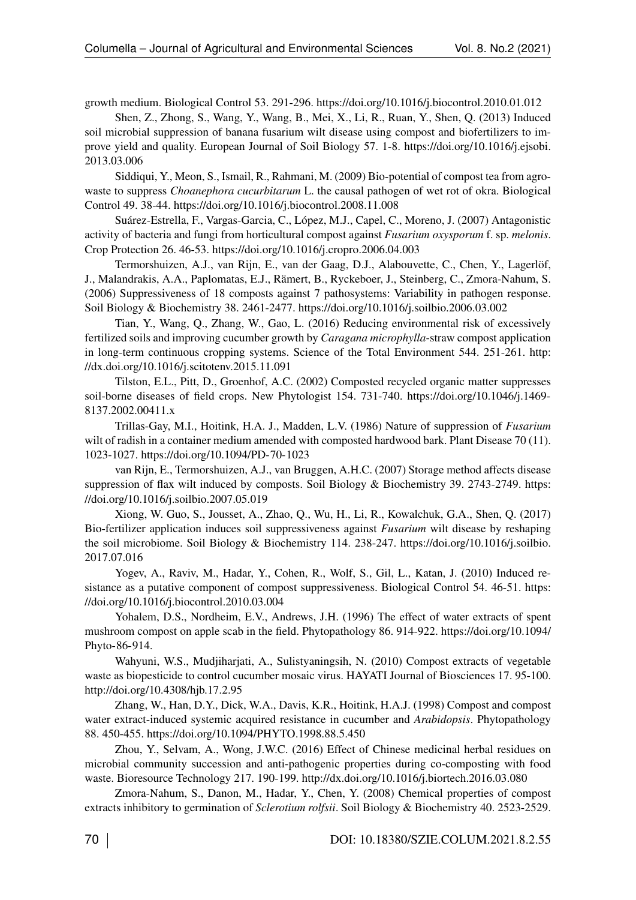growth medium. Biological Control 53. 291-296.<https://doi.org/10.1016/j.biocontrol.2010.01.012>

Shen, Z., Zhong, S., Wang, Y., Wang, B., Mei, X., Li, R., Ruan, Y., Shen, Q. (2013) Induced soil microbial suppression of banana fusarium wilt disease using compost and biofertilizers to improve yield and quality. European Journal of Soil Biology 57. 1-8. [https://doi.org/10.1016/j.ejsobi.](https://doi.org/10.1016/j.ejsobi.2013.03.006) [2013.03.006](https://doi.org/10.1016/j.ejsobi.2013.03.006)

Siddiqui, Y., Meon, S., Ismail, R., Rahmani, M. (2009) Bio-potential of compost tea from agrowaste to suppress *Choanephora cucurbitarum* L. the causal pathogen of wet rot of okra. Biological Control 49. 38-44.<https://doi.org/10.1016/j.biocontrol.2008.11.008>

Suárez-Estrella, F., Vargas-Garcia, C., López, M.J., Capel, C., Moreno, J. (2007) Antagonistic activity of bacteria and fungi from horticultural compost against *Fusarium oxysporum* f. sp. *melonis*. Crop Protection 26. 46-53.<https://doi.org/10.1016/j.cropro.2006.04.003>

Termorshuizen, A.J., van Rijn, E., van der Gaag, D.J., Alabouvette, C., Chen, Y., Lagerlöf, J., Malandrakis, A.A., Paplomatas, E.J., Rämert, B., Ryckeboer, J., Steinberg, C., Zmora-Nahum, S. (2006) Suppressiveness of 18 composts against 7 pathosystems: Variability in pathogen response. Soil Biology & Biochemistry 38. 2461-2477.<https://doi.org/10.1016/j.soilbio.2006.03.002>

Tian, Y., Wang, Q., Zhang, W., Gao, L. (2016) Reducing environmental risk of excessively fertilized soils and improving cucumber growth by *Caragana microphylla*-straw compost application in long-term continuous cropping systems. Science of the Total Environment 544. 251-261. [http:](http://dx.doi.org/10.1016/j.scitotenv.2015.11.091) [//dx.doi.org/10.1016/j.scitotenv.2015.11.091](http://dx.doi.org/10.1016/j.scitotenv.2015.11.091)

Tilston, E.L., Pitt, D., Groenhof, A.C. (2002) Composted recycled organic matter suppresses soil-borne diseases of field crops. New Phytologist 154. 731-740. [https://doi.org/10.1046/j.1469-](https://doi.org/10.1046/j.1469-8137.2002.00411.x) [8137.2002.00411.x](https://doi.org/10.1046/j.1469-8137.2002.00411.x)

Trillas-Gay, M.I., Hoitink, H.A. J., Madden, L.V. (1986) Nature of suppression of *Fusarium* wilt of radish in a container medium amended with composted hardwood bark. Plant Disease 70 (11). 1023-1027.<https://doi.org/10.1094/PD-70-1023>

van Rijn, E., Termorshuizen, A.J., van Bruggen, A.H.C. (2007) Storage method affects disease suppression of flax wilt induced by composts. Soil Biology & Biochemistry 39. 2743-2749. [https:](https://doi.org/10.1016/j.soilbio.2007.05.019) [//doi.org/10.1016/j.soilbio.2007.05.019](https://doi.org/10.1016/j.soilbio.2007.05.019)

Xiong, W. Guo, S., Jousset, A., Zhao, Q., Wu, H., Li, R., Kowalchuk, G.A., Shen, Q. (2017) Bio-fertilizer application induces soil suppressiveness against *Fusarium* wilt disease by reshaping the soil microbiome. Soil Biology & Biochemistry 114. 238-247. [https://doi.org/10.1016/j.soilbio.](https://doi.org/10.1016/j.soilbio.2017.07.016) [2017.07.016](https://doi.org/10.1016/j.soilbio.2017.07.016)

Yogev, A., Raviv, M., Hadar, Y., Cohen, R., Wolf, S., Gil, L., Katan, J. (2010) Induced resistance as a putative component of compost suppressiveness. Biological Control 54. 46-51. [https:](https://doi.org/10.1016/j.biocontrol.2010.03.004) [//doi.org/10.1016/j.biocontrol.2010.03.004](https://doi.org/10.1016/j.biocontrol.2010.03.004)

Yohalem, D.S., Nordheim, E.V., Andrews, J.H. (1996) The effect of water extracts of spent mushroom compost on apple scab in the field. Phytopathology 86. 914-922. [https://doi.org/10.1094/](https://doi.org/10.1094/Phyto-86-914.) [Phyto-86-914.](https://doi.org/10.1094/Phyto-86-914.)

Wahyuni, W.S., Mudjiharjati, A., Sulistyaningsih, N. (2010) Compost extracts of vegetable waste as biopesticide to control cucumber mosaic virus. HAYATI Journal of Biosciences 17. 95-100. <http://doi.org/10.4308/hjb.17.2.95>

Zhang, W., Han, D.Y., Dick, W.A., Davis, K.R., Hoitink, H.A.J. (1998) Compost and compost water extract-induced systemic acquired resistance in cucumber and *Arabidopsis*. Phytopathology 88. 450-455.<https://doi.org/10.1094/PHYTO.1998.88.5.450>

Zhou, Y., Selvam, A., Wong, J.W.C. (2016) Effect of Chinese medicinal herbal residues on microbial community succession and anti-pathogenic properties during co-composting with food waste. Bioresource Technology 217. 190-199.<http://dx.doi.org/10.1016/j.biortech.2016.03.080>

Zmora-Nahum, S., Danon, M., Hadar, Y., Chen, Y. (2008) Chemical properties of compost extracts inhibitory to germination of *Sclerotium rolfsii*. Soil Biology & Biochemistry 40. 2523-2529.